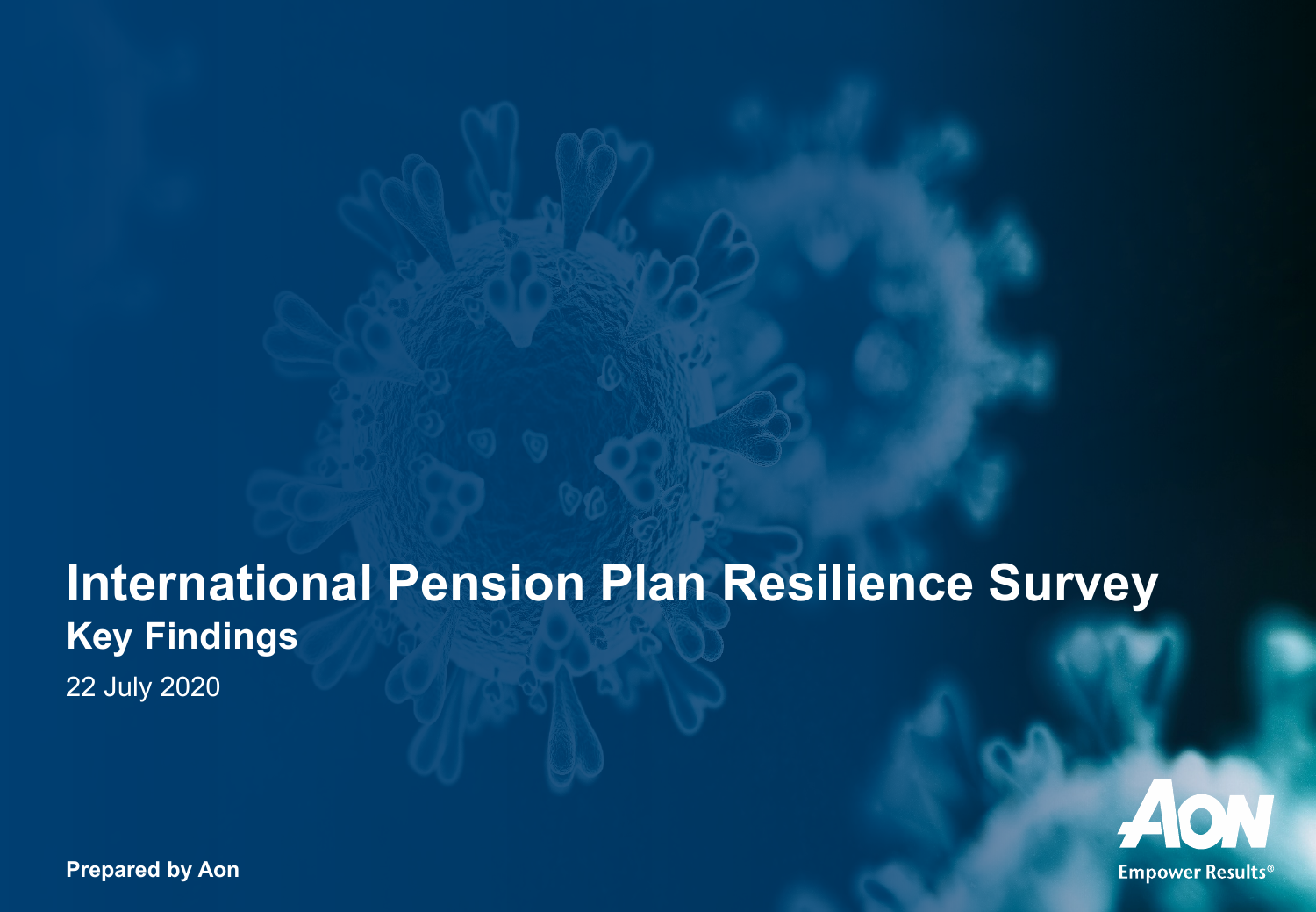# **International Pension Plan Resilience Survey Key Findings**

22 July 2020



**Prepared by Aon**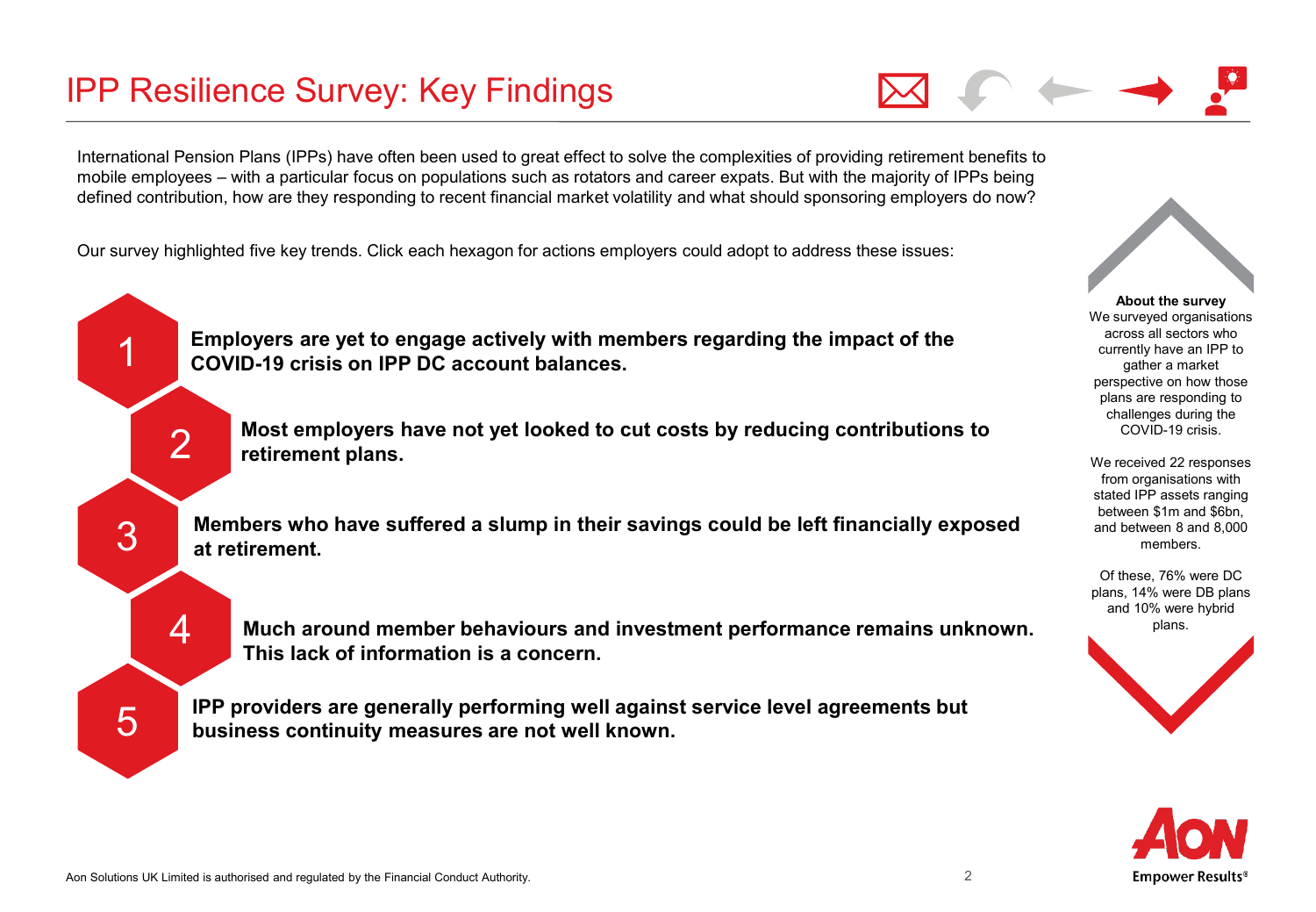International Pension Plans (IPPs) have often been used to great effect to solve the complexities of providing retirement benefits to mobile employees – with a particular focus on populations such as rotators and career expats. But with the majority of IPPs being defined contribution, how are they responding to recent financial market volatility and what should sponsoring employers do now?

Our survey highlighted five key trends. Click each hexagon for actions employers could adopt to address these issues:



**About the survey** We surveyed organisations across all sectors who currently have an IPP to gather a market perspective on how those plans are responding to challenges during the COVID-19 crisis.

We received 22 responses from organisations with stated IPP assets ranging between \$1m and \$6bn, and between 8 and 8,000 members.

Of these, 76% were DC plans, 14% were DB plans and 10% were hybrid plans.



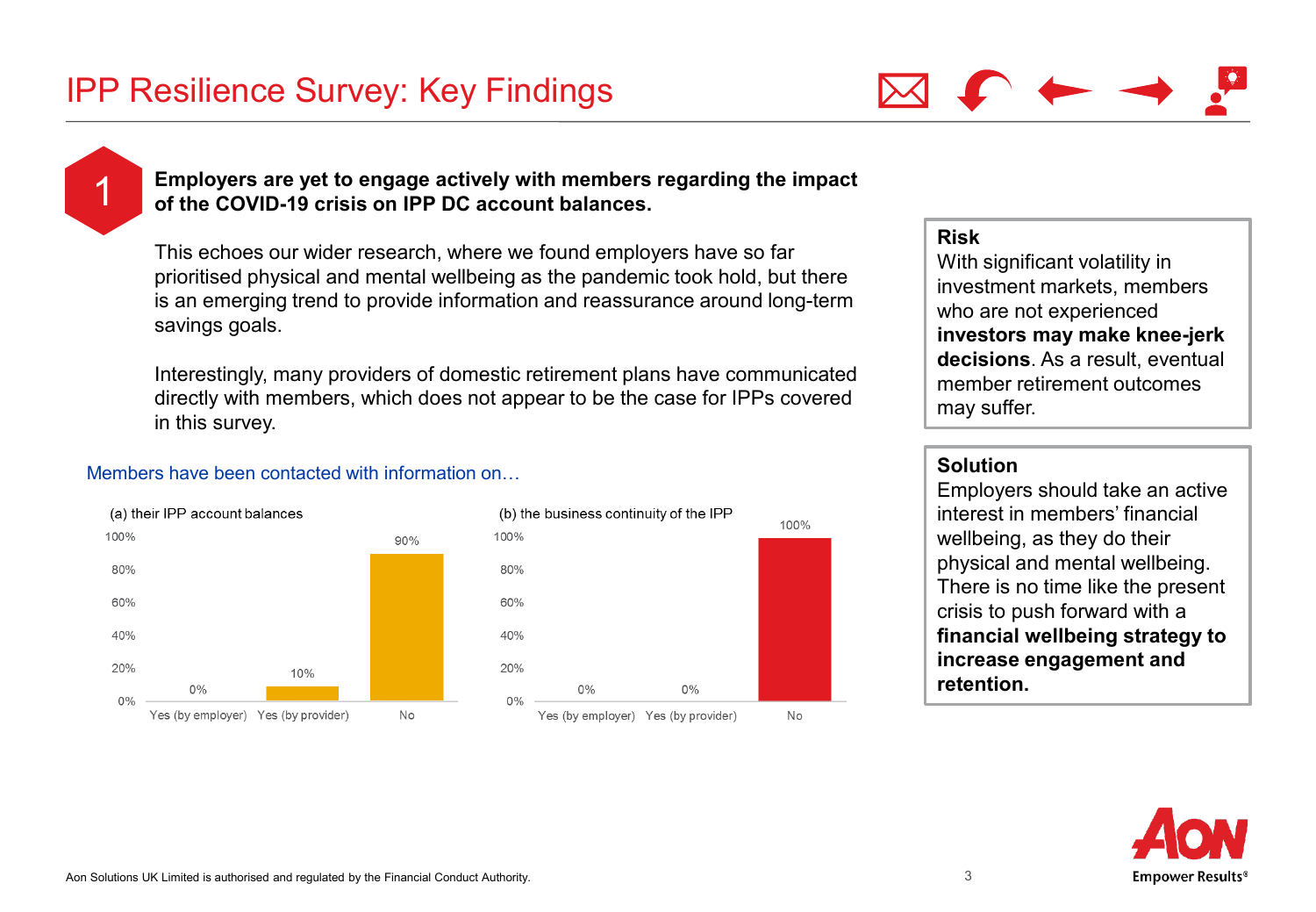<span id="page-2-0"></span>

### 1 **Employers are yet to engage actively with members regarding the impact of the COVID-19 crisis on IPP DC account balances.**

This echoes our wider research, where we found employers have so far prioritised physical and mental wellbeing as the pandemic took hold, but there is an emerging trend to provide information and reassurance around long-term savings goals.

Interestingly, many providers of domestic retirement plans have communicated directly with members, which does not appear to be the case for IPPs covered in this survey.

### Members have been contacted with information on…





### **Risk**

With significant volatility in investment markets, members who are not experienced **investors may make knee-jerk decisions**. As a result, eventual member retirement outcomes may suffer.

Employers should take an active interest in members' financial wellbeing, as they do their physical and mental wellbeing. There is no time like the present crisis to push forward with a **financial wellbeing strategy to increase engagement and retention.**

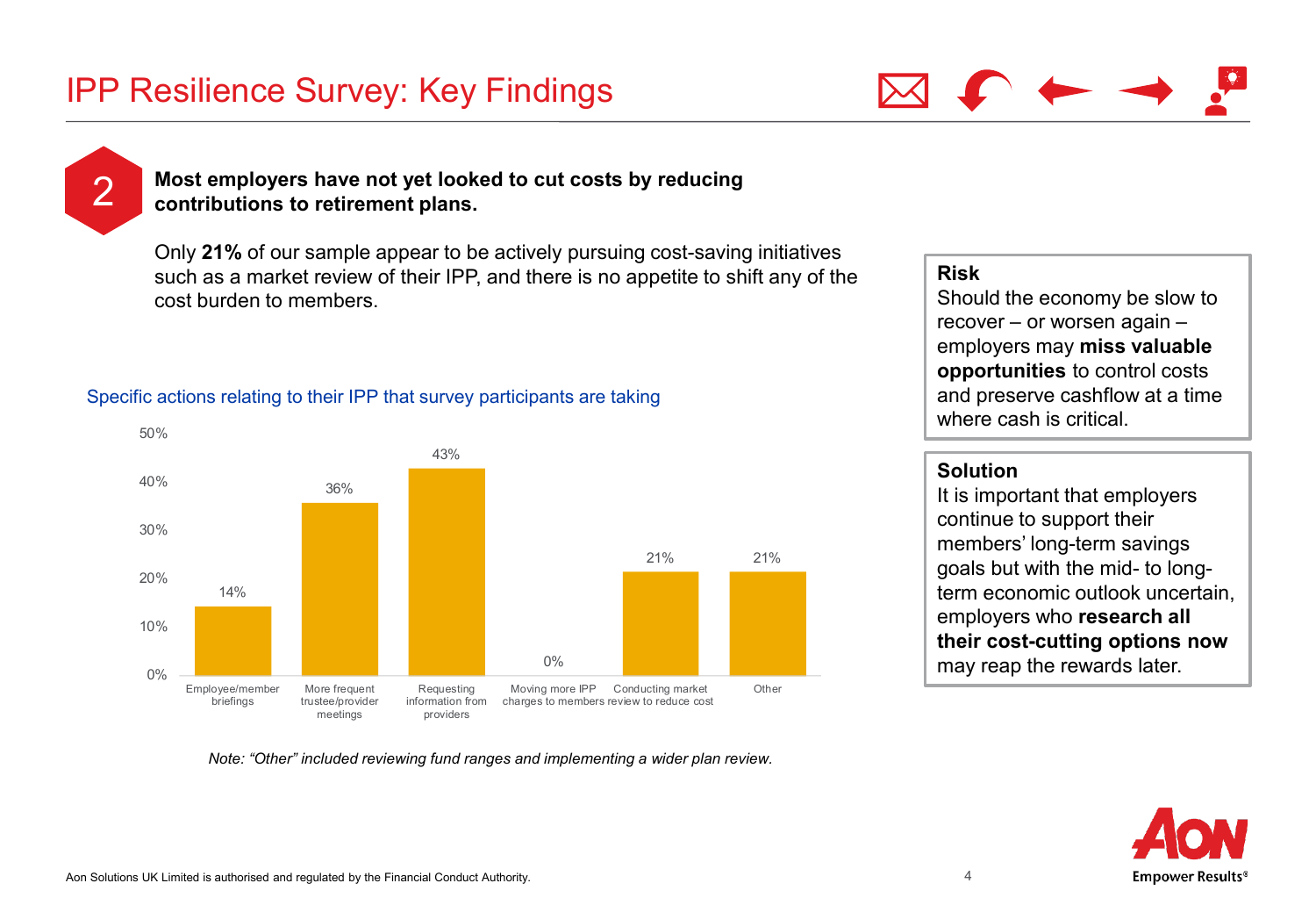

<span id="page-3-0"></span>

### 2 **Most employers have not yet looked to cut costs by reducing contributions to retirement plans.**

Only **21%** of our sample appear to be actively pursuing cost-saving initiatives such as a market review of their IPP, and there is no appetite to shift any of the cost burden to members.

### Specific actions relating to their IPP that survey participants are taking



#### *Note: "Other" included reviewing fund ranges and implementing a wider plan review.*

### **Risk**

Should the economy be slow to recover – or worsen again – employers may **miss valuable opportunities** to control costs and preserve cashflow at a time where cash is critical.

### **Solution**

It is important that employers continue to support their members' long-term savings goals but with the mid- to longterm economic outlook uncertain, employers who **research all their cost-cutting options now**  may reap the rewards later.

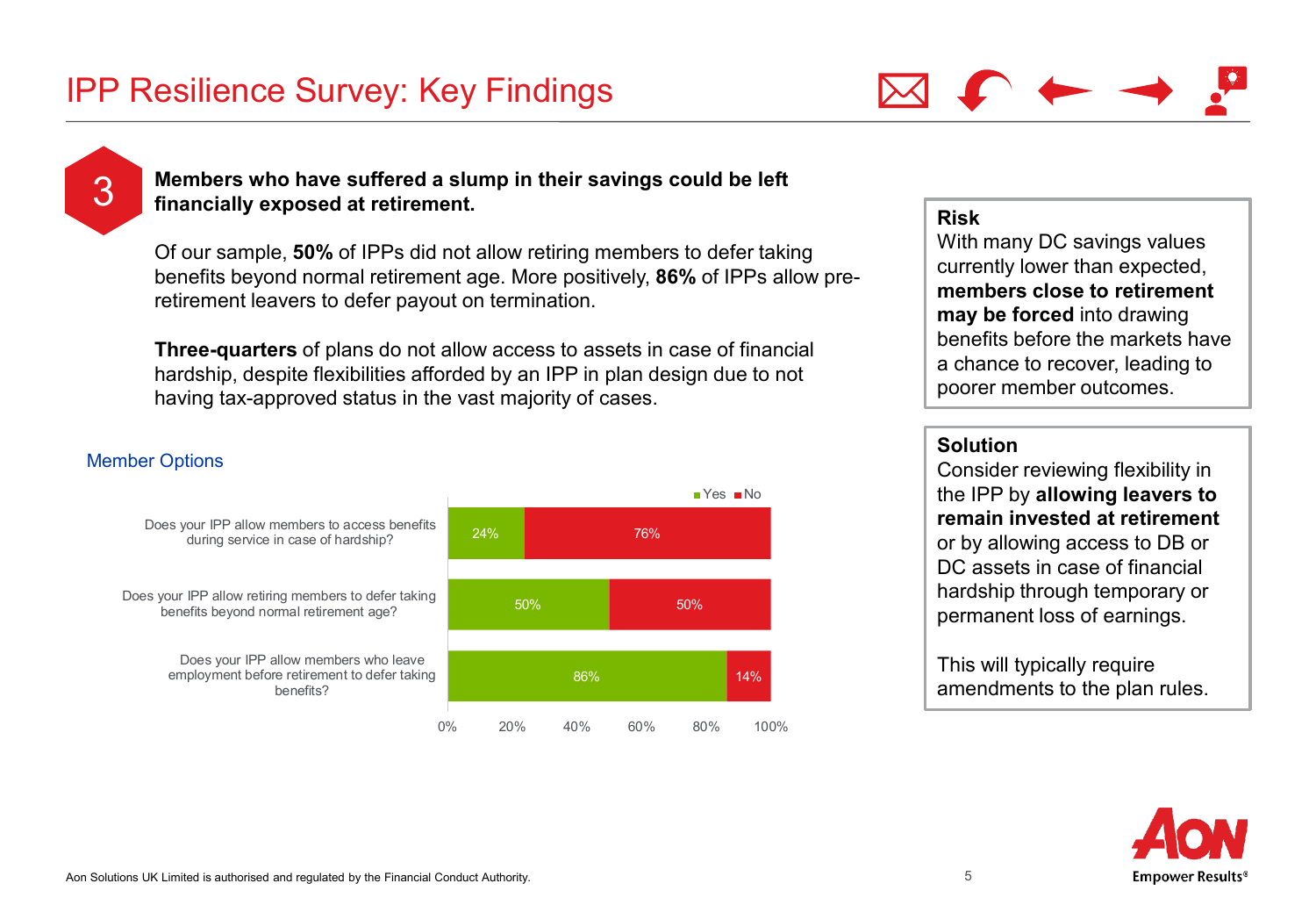

<span id="page-4-0"></span>**3** Members who have suffered a slump in their savings could be left <br> **3** financially exposed at retirement **financially exposed at retirement.**

Of our sample, **50%** of IPPs did not allow retiring members to defer taking benefits beyond normal retirement age. More positively, **86%** of IPPs allow preretirement leavers to defer payout on termination.

**Three-quarters** of plans do not allow access to assets in case of financial hardship, despite flexibilities afforded by an IPP in plan design due to not having tax-approved status in the vast majority of cases.

### Member Options



### **Risk**

With many DC savings values currently lower than expected, **members close to retirement may be forced** into drawing benefits before the markets have a chance to recover, leading to poorer member outcomes.

### **Solution**

Consider reviewing flexibility in the IPP by **allowing leavers to remain invested at retirement**  or by allowing access to DB or DC assets in case of financial hardship through temporary or permanent loss of earnings.

This will typically require amendments to the plan rules.

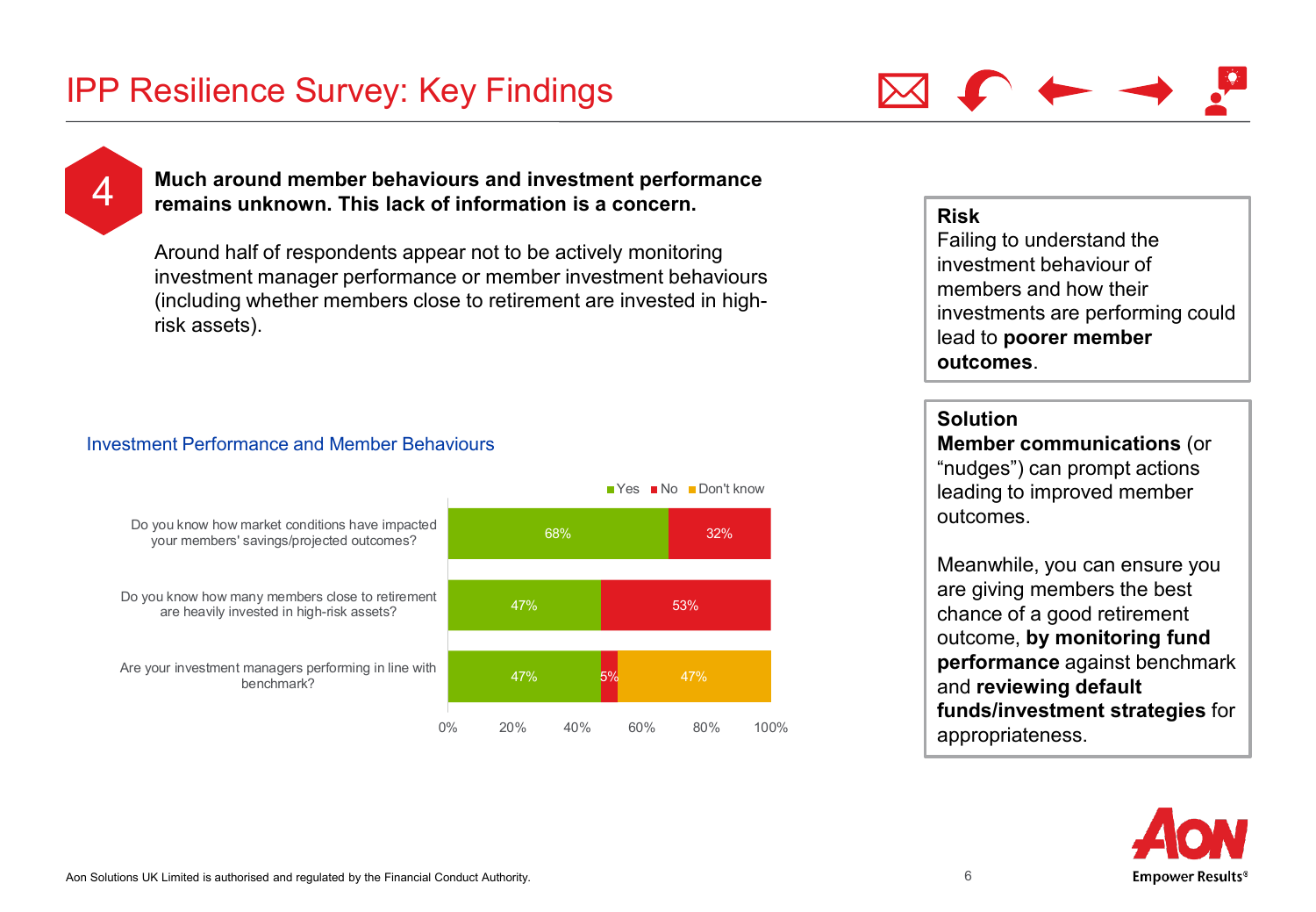

<span id="page-5-0"></span>

### 4 **Much around member behaviours and investment performance remains unknown. This lack of information is a concern.**

Around half of respondents appear not to be actively monitoring investment manager performance or member investment behaviours (including whether members close to retirement are invested in highrisk assets).

### Investment Performance and Member Behaviours



### **Risk**

Failing to understand the investment behaviour of members and how their investments are performing could lead to **poorer member outcomes**.

### **Solution**

**Member communications** (or "nudges") can prompt actions leading to improved member outcomes.

Meanwhile, you can ensure you are giving members the best chance of a good retirement outcome, **by monitoring fund performance** against benchmark and **reviewing default funds/investment strategies** for appropriateness.

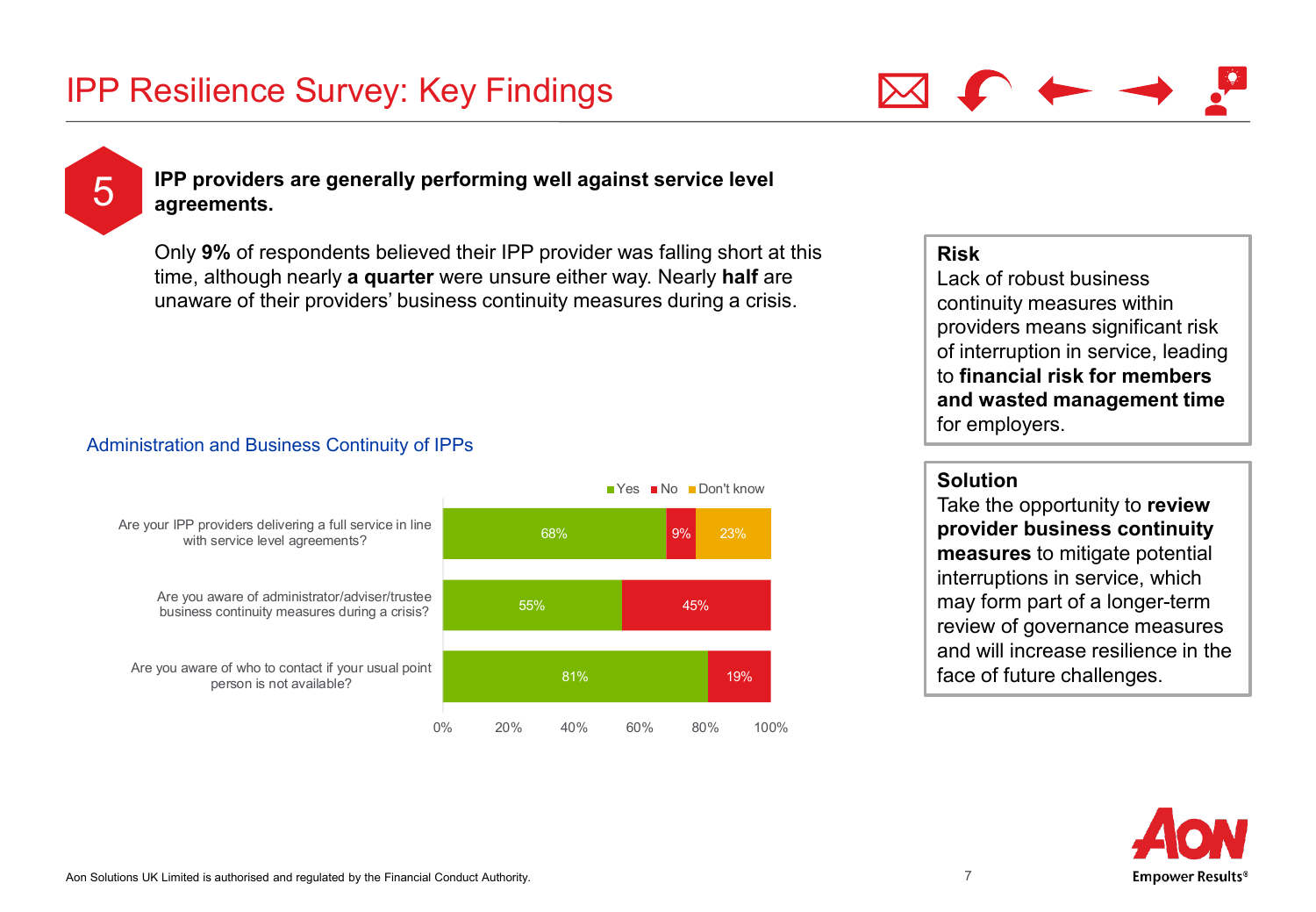

### <span id="page-6-0"></span>**1988 IPP providers are generally performing well against service level agreements.**

Only **9%** of respondents believed their IPP provider was falling short at this time, although nearly **a quarter** were unsure either way. Nearly **half** are unaware of their providers' business continuity measures during a crisis.

### Administration and Business Continuity of IPPs



### **Risk**

Lack of robust business continuity measures within providers means significant risk of interruption in service, leading to **financial risk for members and wasted management time**  for employers.

### **Solution**

Take the opportunity to **review provider business continuity measures** to mitigate potential interruptions in service, which may form part of a longer-term review of governance measures and will increase resilience in the face of future challenges.

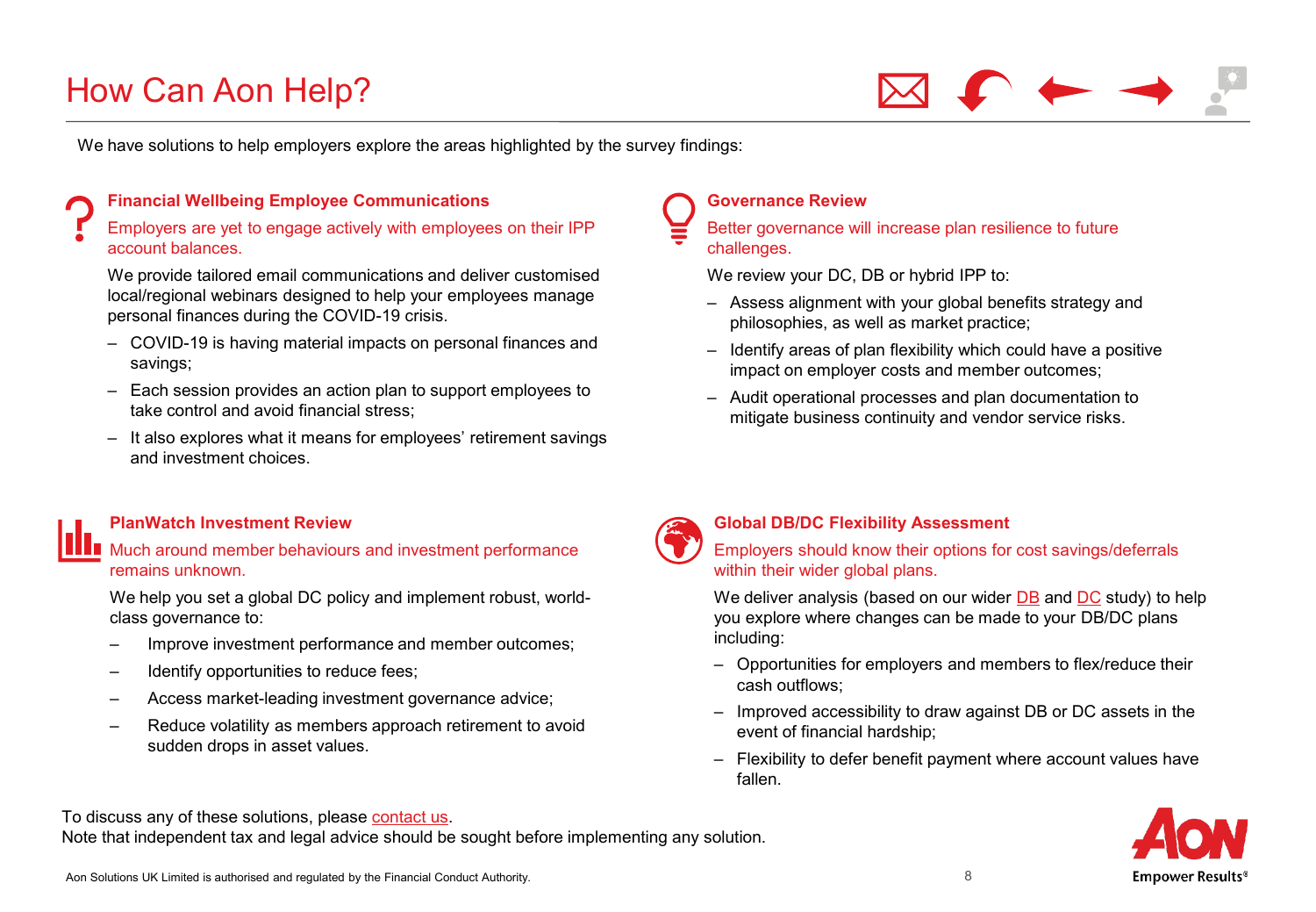## How Can Aon Help?

We have solutions to help employers explore the areas highlighted by the survey findings:

### **Financial Wellbeing Employee Communications**

Employers are yet to engage actively with employees on their IPP account balances.

We provide tailored email communications and deliver customised local/regional webinars designed to help your employees manage personal finances during the COVID-19 crisis.

- COVID-19 is having material impacts on personal finances and savings;
- Each session provides an action plan to support employees to take control and avoid financial stress;
- It also explores what it means for employees' retirement savings and investment choices.

#### **PlanWatch Investment Review**

**Much around member behaviours and investment performance** remains unknown.

We help you set a global DC policy and implement robust, worldclass governance to:

- Improve investment performance and member outcomes;
- Identify opportunities to reduce fees;
- Access market-leading investment governance advice;
- Reduce volatility as members approach retirement to avoid sudden drops in asset values.

### **Governance Review**

Better governance will increase plan resilience to future challenges.

We review your DC, DB or hybrid IPP to:

- Assess alignment with your global benefits strategy and philosophies, as well as market practice;
- Identify areas of plan flexibility which could have a positive impact on employer costs and member outcomes;
- Audit operational processes and plan documentation to mitigate business continuity and vendor service risks.



#### **Global DB/DC Flexibility Assessment**

Employers should know their options for cost savings/deferrals within their wider global plans.

We deliver analysis (based on our wider [DB](https://aon.com/getmedia/cc05c774-4c1b-4047-a08b-61f62bd8a6d2/COVID-19-Global-DB-Flexibility-May-2020-FINAL.aspx) and [DC](https://img.response.aonunited.com/Web/AonUnited/%7Bc6ec23aa-ab31-4846-aa79-54624ce08073%7D_COVID-19_-_Global_DC_Flexibility_-_29_April_2020-1.pdf) study) to help you explore where changes can be made to your DB/DC plans including:

- Opportunities for employers and members to flex/reduce their cash outflows;
- Improved accessibility to draw against DB or DC assets in the event of financial hardship;
- Flexibility to defer benefit payment where account values have fallen.



To discuss any of these solutions, please [contact us.](#page-8-0)

Note that independent tax and legal advice should be sought before implementing any solution.

Aon Solutions UK Limited is authorised and regulated by the Financial Conduct Authority.